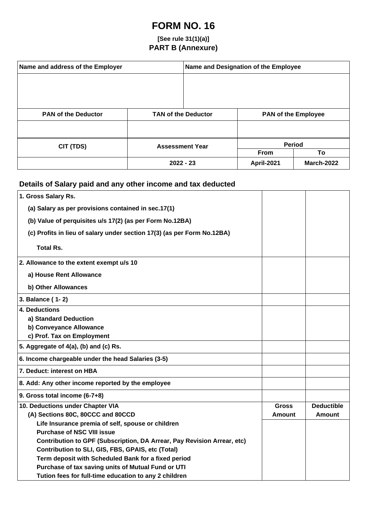## **FORM NO. 16**

## **[See rule 31(1)(a)] PART B (Annexure)**

| Name and address of the Employer |                            | Name and Designation of the Employee |                            |                   |  |
|----------------------------------|----------------------------|--------------------------------------|----------------------------|-------------------|--|
|                                  |                            |                                      |                            |                   |  |
|                                  |                            |                                      |                            |                   |  |
|                                  |                            |                                      |                            |                   |  |
| <b>PAN of the Deductor</b>       | <b>TAN of the Deductor</b> |                                      | <b>PAN of the Employee</b> |                   |  |
|                                  |                            |                                      |                            |                   |  |
| CIT (TDS)                        | <b>Assessment Year</b>     |                                      |                            | Period            |  |
|                                  |                            |                                      | <b>From</b>                | To                |  |
|                                  |                            | $2022 - 23$                          | April-2021                 | <b>March-2022</b> |  |

## **Details of Salary paid and any other income and tax deducted**

| 1. Gross Salary Rs.                                                     |               |                   |
|-------------------------------------------------------------------------|---------------|-------------------|
| (a) Salary as per provisions contained in sec.17(1)                     |               |                   |
| (b) Value of perquisites u/s 17(2) (as per Form No.12BA)                |               |                   |
| (c) Profits in lieu of salary under section 17(3) (as per Form No.12BA) |               |                   |
|                                                                         |               |                   |
| <b>Total Rs.</b>                                                        |               |                   |
| 2. Allowance to the extent exempt u/s 10                                |               |                   |
| a) House Rent Allowance                                                 |               |                   |
| b) Other Allowances                                                     |               |                   |
| 3. Balance (1-2)                                                        |               |                   |
| 4. Deductions                                                           |               |                   |
| a) Standard Deduction                                                   |               |                   |
| b) Conveyance Allowance                                                 |               |                   |
| c) Prof. Tax on Employment                                              |               |                   |
| 5. Aggregate of 4(a), (b) and (c) Rs.                                   |               |                   |
| 6. Income chargeable under the head Salaries (3-5)                      |               |                   |
| 7. Deduct: interest on HBA                                              |               |                   |
| 8. Add: Any other income reported by the employee                       |               |                   |
| 9. Gross total income (6-7+8)                                           |               |                   |
| 10. Deductions under Chapter VIA                                        | <b>Gross</b>  | <b>Deductible</b> |
| (A) Sections 80C, 80CCC and 80CCD                                       | <b>Amount</b> | <b>Amount</b>     |
| Life Insurance premia of self, spouse or children                       |               |                   |
| <b>Purchase of NSC VIII issue</b>                                       |               |                   |
| Contribution to GPF (Subscription, DA Arrear, Pay Revision Arrear, etc) |               |                   |
| Contribution to SLI, GIS, FBS, GPAIS, etc (Total)                       |               |                   |
| Term deposit with Scheduled Bank for a fixed period                     |               |                   |
| Purchase of tax saving units of Mutual Fund or UTI                      |               |                   |
| Tution fees for full-time education to any 2 children                   |               |                   |